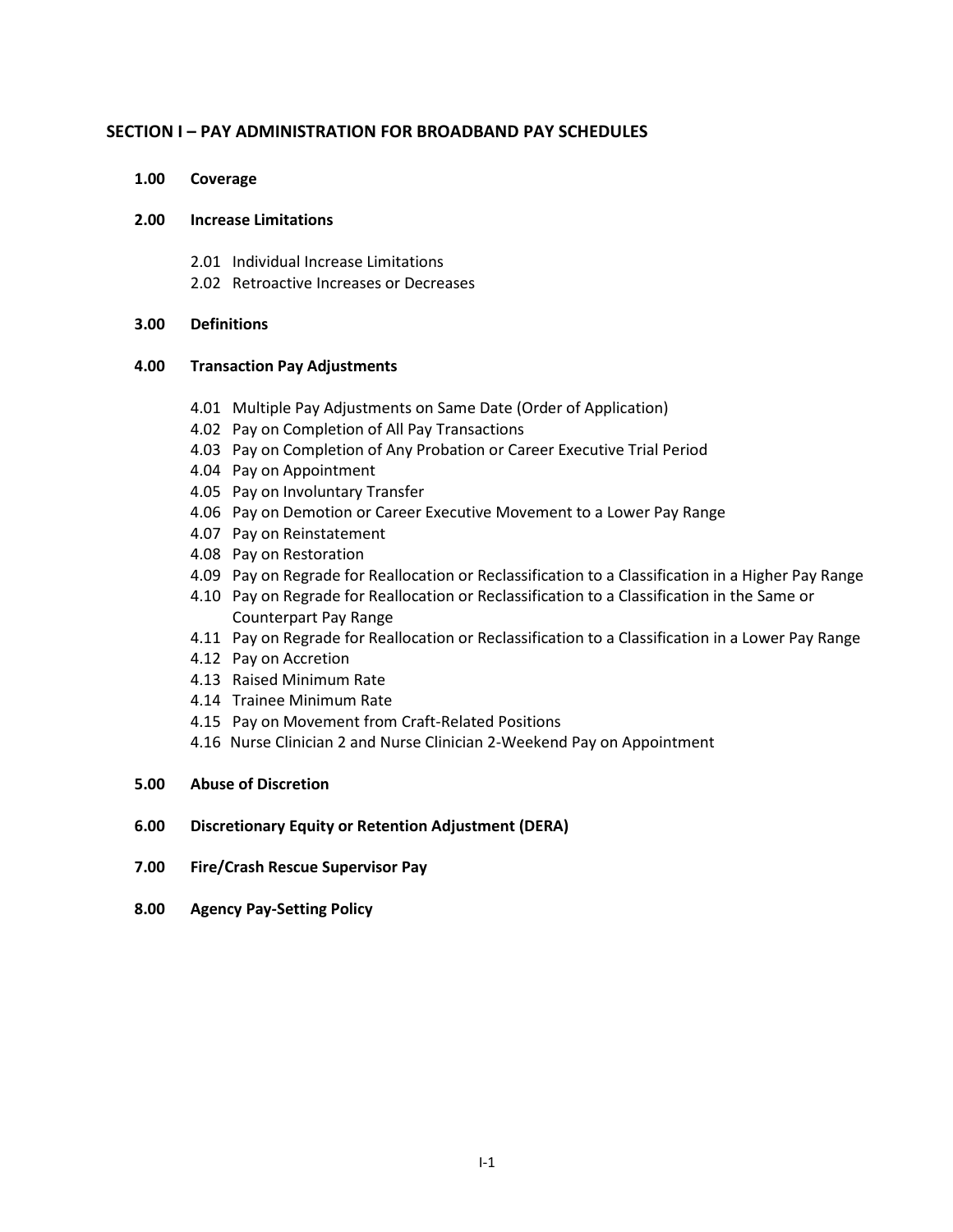# **SECTION I – PAY ADMINISTRATION FOR BROADBAND PAY SCHEDULES**

**1.00 Coverage**

## **2.00 Increase Limitations**

- 2.01 Individual Increase Limitations
- 2.02 Retroactive Increases or Decreases

## **3.00 Definitions**

## **4.00 Transaction Pay Adjustments**

- 4.01 Multiple Pay Adjustments on Same Date (Order of Application)
- 4.02 Pay on Completion of All Pay Transactions
- 4.03 Pay on Completion of Any Probation or Career Executive Trial Period
- 4.04 Pay on Appointment
- 4.05 Pay on Involuntary Transfer
- 4.06 Pay on Demotion or Career Executive Movement to a Lower Pay Range
- 4.07 Pay on Reinstatement
- 4.08 Pay on Restoration
- 4.09 Pay on Regrade for Reallocation or Reclassification to a Classification in a Higher Pay Range
- 4.10 Pay on Regrade for Reallocation or Reclassification to a Classification in the Same or Counterpart Pay Range
- 4.11 Pay on Regrade for Reallocation or Reclassification to a Classification in a Lower Pay Range
- 4.12 Pay on Accretion
- 4.13 Raised Minimum Rate
- 4.14 Trainee Minimum Rate
- 4.15 Pay on Movement from Craft-Related Positions
- 4.16 Nurse Clinician 2 and Nurse Clinician 2-Weekend Pay on Appointment

### **5.00 Abuse of Discretion**

# **6.00 Discretionary Equity or Retention Adjustment (DERA)**

- **7.00 Fire/Crash Rescue Supervisor Pay**
- **8.00 Agency Pay-Setting Policy**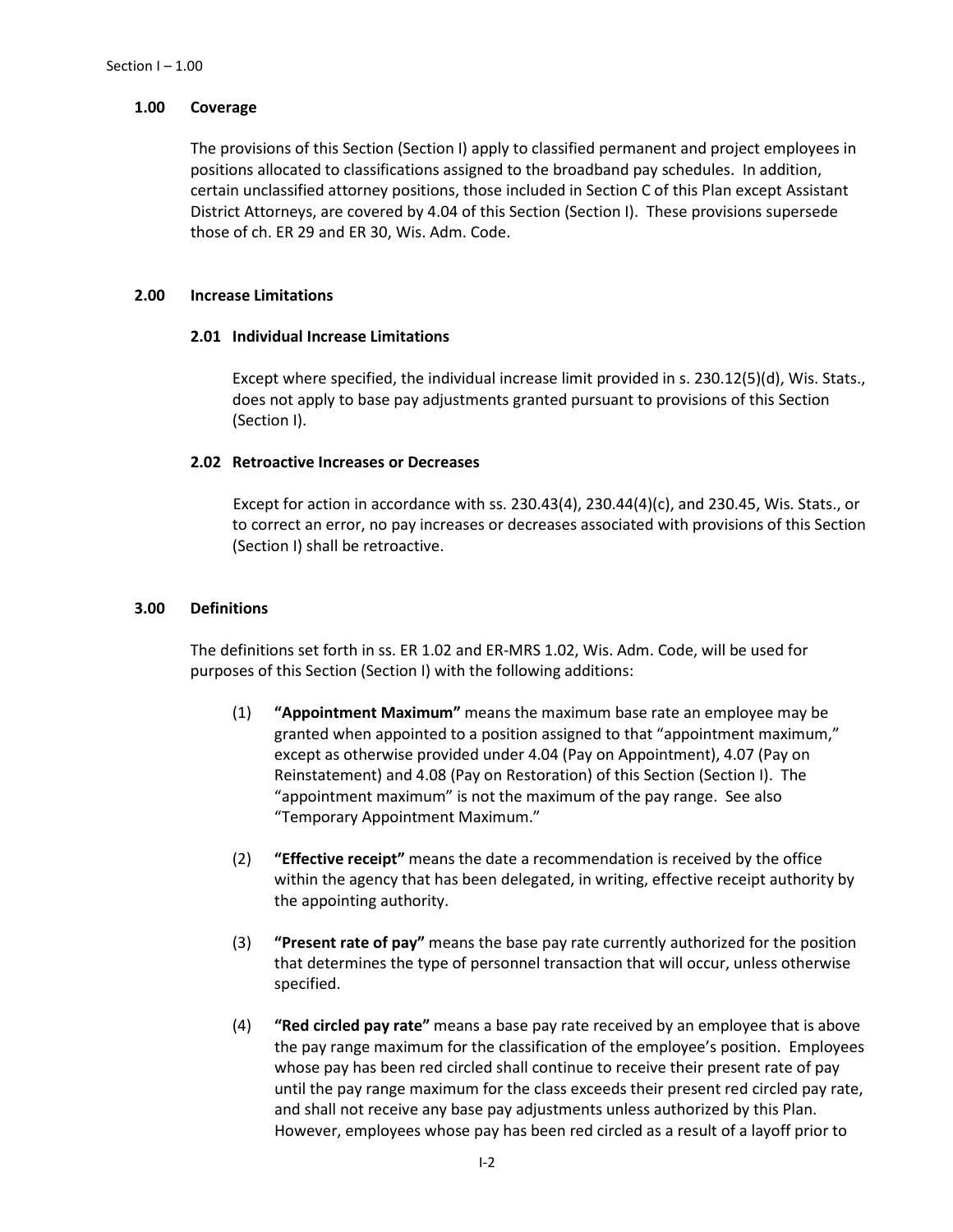## **1.00 Coverage**

The provisions of this Section (Section I) apply to classified permanent and project employees in positions allocated to classifications assigned to the broadband pay schedules. In addition, certain unclassified attorney positions, those included in Section C of this Plan except Assistant District Attorneys, are covered by 4.04 of this Section (Section I). These provisions supersede those of ch. ER 29 and ER 30, Wis. Adm. Code.

## **2.00 Increase Limitations**

## **2.01 Individual Increase Limitations**

Except where specified, the individual increase limit provided in s. 230.12(5)(d), Wis. Stats., does not apply to base pay adjustments granted pursuant to provisions of this Section (Section I).

## **2.02 Retroactive Increases or Decreases**

Except for action in accordance with ss. 230.43(4), 230.44(4)(c), and 230.45, Wis. Stats., or to correct an error, no pay increases or decreases associated with provisions of this Section (Section I) shall be retroactive.

## **3.00 Definitions**

The definitions set forth in ss. ER 1.02 and ER-MRS 1.02, Wis. Adm. Code, will be used for purposes of this Section (Section I) with the following additions:

- (1) **"Appointment Maximum"** means the maximum base rate an employee may be granted when appointed to a position assigned to that "appointment maximum," except as otherwise provided under 4.04 (Pay on Appointment), 4.07 (Pay on Reinstatement) and 4.08 (Pay on Restoration) of this Section (Section I). The "appointment maximum" is not the maximum of the pay range. See also "Temporary Appointment Maximum."
- (2) **"Effective receipt"** means the date a recommendation is received by the office within the agency that has been delegated, in writing, effective receipt authority by the appointing authority.
- (3) **"Present rate of pay"** means the base pay rate currently authorized for the position that determines the type of personnel transaction that will occur, unless otherwise specified.
- (4) **"Red circled pay rate"** means a base pay rate received by an employee that is above the pay range maximum for the classification of the employee's position. Employees whose pay has been red circled shall continue to receive their present rate of pay until the pay range maximum for the class exceeds their present red circled pay rate, and shall not receive any base pay adjustments unless authorized by this Plan. However, employees whose pay has been red circled as a result of a layoff prior to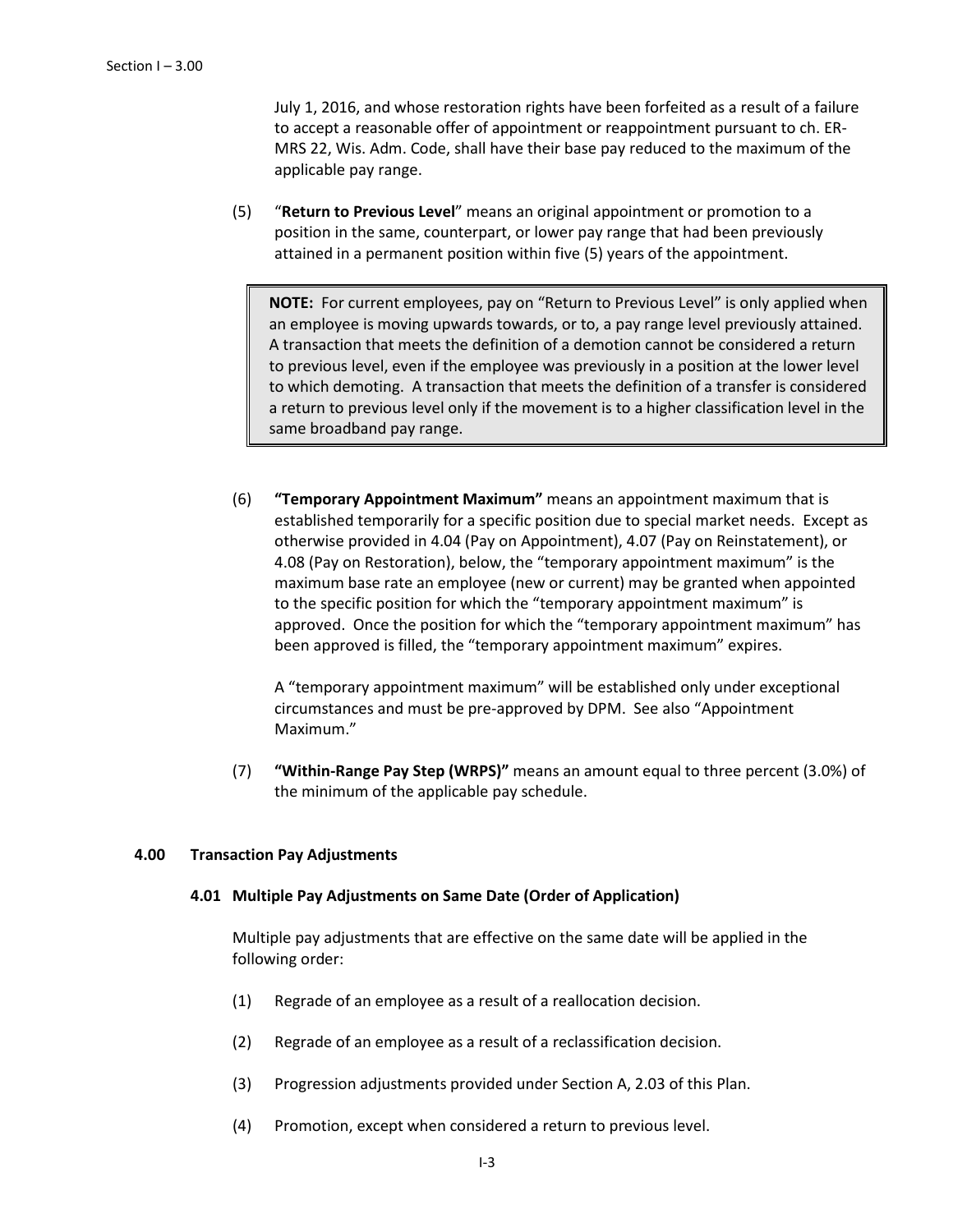July 1, 2016, and whose restoration rights have been forfeited as a result of a failure to accept a reasonable offer of appointment or reappointment pursuant to ch. ER-MRS 22, Wis. Adm. Code, shall have their base pay reduced to the maximum of the applicable pay range.

(5) "**Return to Previous Level**" means an original appointment or promotion to a position in the same, counterpart, or lower pay range that had been previously attained in a permanent position within five (5) years of the appointment.

**NOTE:** For current employees, pay on "Return to Previous Level" is only applied when an employee is moving upwards towards, or to, a pay range level previously attained. A transaction that meets the definition of a demotion cannot be considered a return to previous level, even if the employee was previously in a position at the lower level to which demoting. A transaction that meets the definition of a transfer is considered a return to previous level only if the movement is to a higher classification level in the same broadband pay range.

(6) **"Temporary Appointment Maximum"** means an appointment maximum that is established temporarily for a specific position due to special market needs. Except as otherwise provided in 4.04 (Pay on Appointment), 4.07 (Pay on Reinstatement), or 4.08 (Pay on Restoration), below, the "temporary appointment maximum" is the maximum base rate an employee (new or current) may be granted when appointed to the specific position for which the "temporary appointment maximum" is approved. Once the position for which the "temporary appointment maximum" has been approved is filled, the "temporary appointment maximum" expires.

A "temporary appointment maximum" will be established only under exceptional circumstances and must be pre-approved by DPM. See also "Appointment Maximum."

(7) **"Within-Range Pay Step (WRPS)"** means an amount equal to three percent (3.0%) of the minimum of the applicable pay schedule.

# **4.00 Transaction Pay Adjustments**

### **4.01 Multiple Pay Adjustments on Same Date (Order of Application)**

Multiple pay adjustments that are effective on the same date will be applied in the following order:

- (1) Regrade of an employee as a result of a reallocation decision.
- (2) Regrade of an employee as a result of a reclassification decision.
- (3) Progression adjustments provided under Section A, 2.03 of this Plan.
- (4) Promotion, except when considered a return to previous level.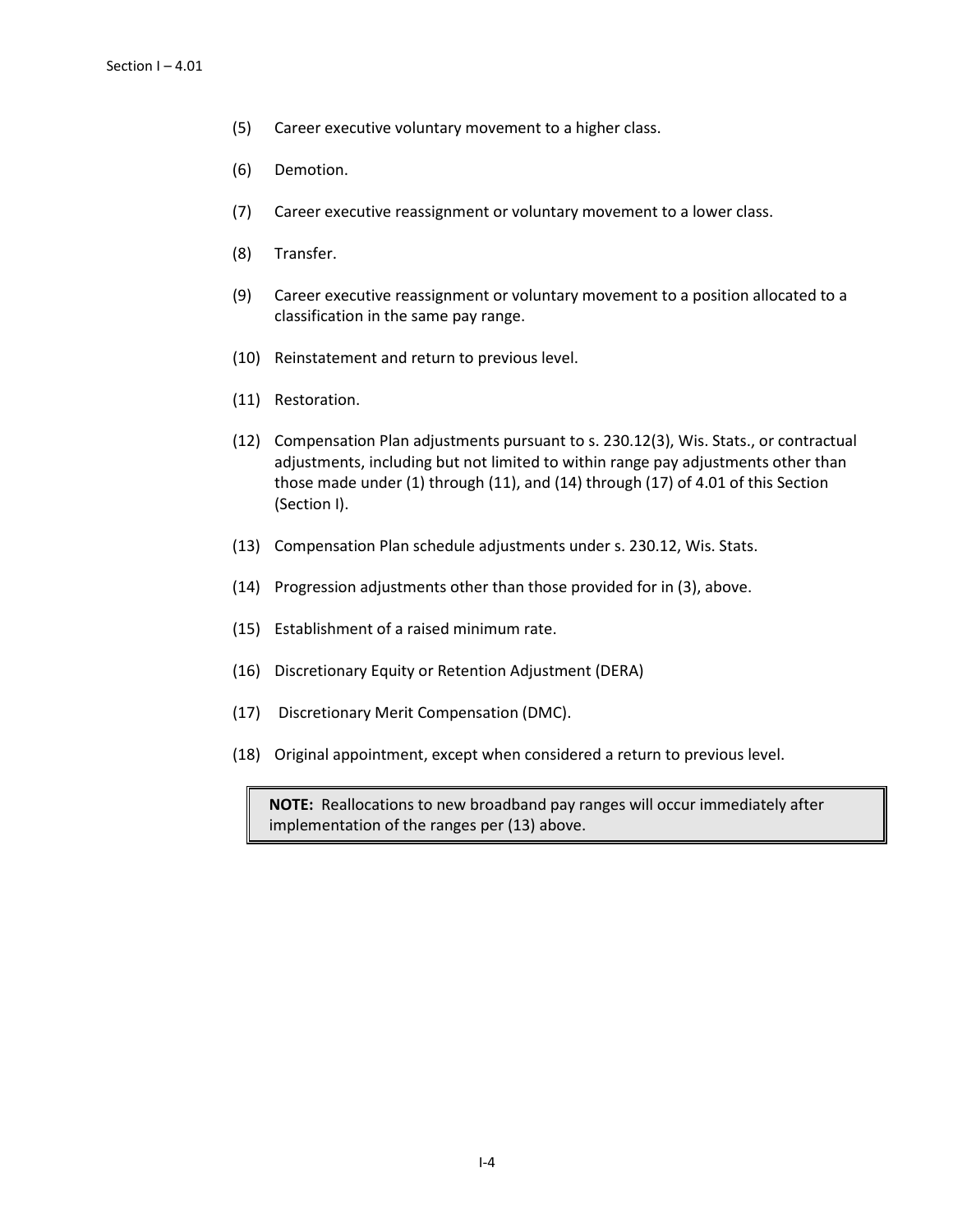- (5) Career executive voluntary movement to a higher class.
- (6) Demotion.
- (7) Career executive reassignment or voluntary movement to a lower class.
- (8) Transfer.
- (9) Career executive reassignment or voluntary movement to a position allocated to a classification in the same pay range.
- (10) Reinstatement and return to previous level.
- (11) Restoration.
- (12) Compensation Plan adjustments pursuant to s. 230.12(3), Wis. Stats., or contractual adjustments, including but not limited to within range pay adjustments other than those made under (1) through (11), and (14) through (17) of 4.01 of this Section (Section I).
- (13) Compensation Plan schedule adjustments under s. 230.12, Wis. Stats.
- (14) Progression adjustments other than those provided for in (3), above.
- (15) Establishment of a raised minimum rate.
- (16) Discretionary Equity or Retention Adjustment (DERA)
- (17) Discretionary Merit Compensation (DMC).
- (18) Original appointment, except when considered a return to previous level.

**NOTE:** Reallocations to new broadband pay ranges will occur immediately after implementation of the ranges per (13) above.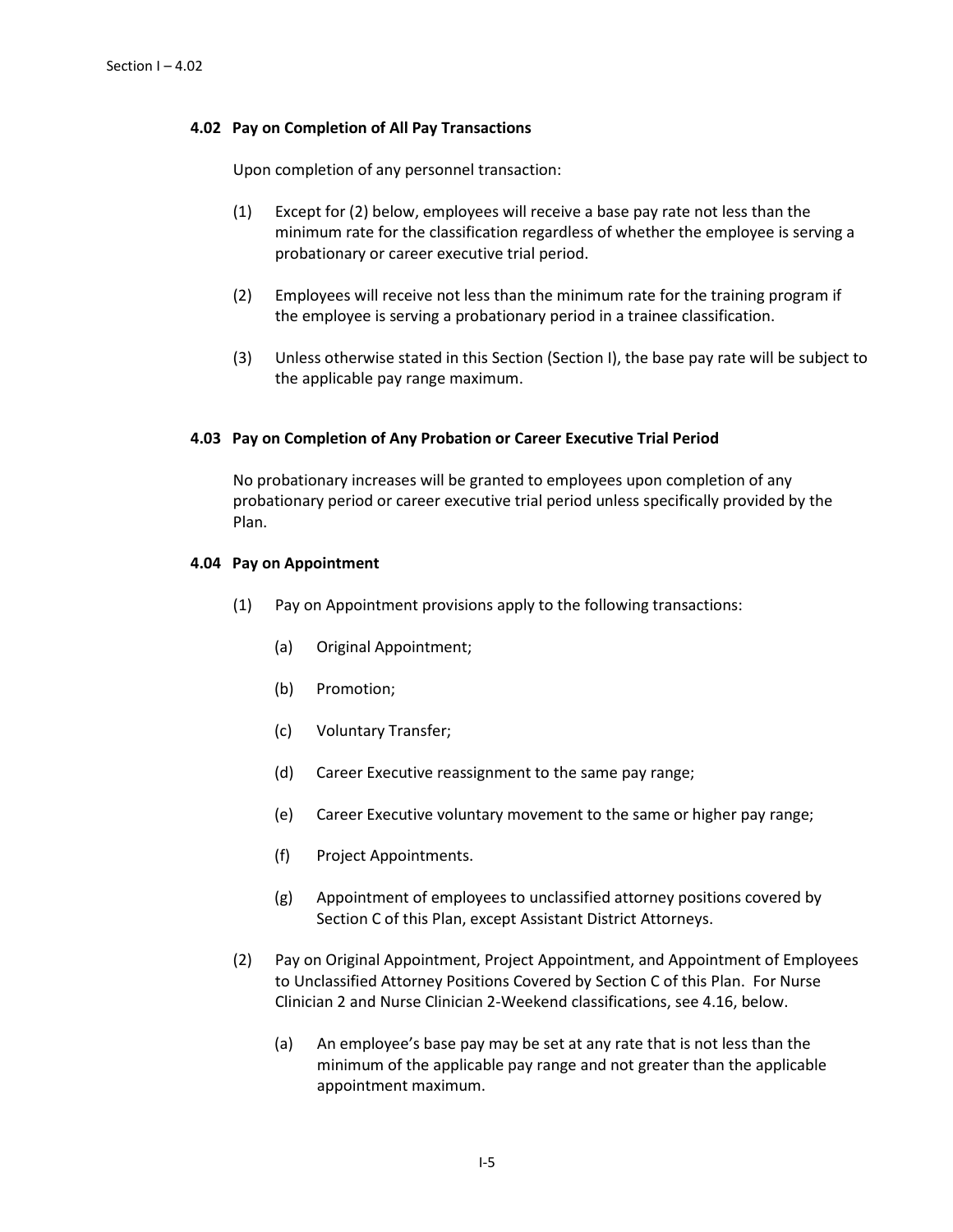## **4.02 Pay on Completion of All Pay Transactions**

Upon completion of any personnel transaction:

- (1) Except for (2) below, employees will receive a base pay rate not less than the minimum rate for the classification regardless of whether the employee is serving a probationary or career executive trial period.
- (2) Employees will receive not less than the minimum rate for the training program if the employee is serving a probationary period in a trainee classification.
- (3) Unless otherwise stated in this Section (Section I), the base pay rate will be subject to the applicable pay range maximum.

## **4.03 Pay on Completion of Any Probation or Career Executive Trial Period**

No probationary increases will be granted to employees upon completion of any probationary period or career executive trial period unless specifically provided by the Plan.

## **4.04 Pay on Appointment**

- (1) Pay on Appointment provisions apply to the following transactions:
	- (a) Original Appointment;
	- (b) Promotion;
	- (c) Voluntary Transfer;
	- (d) Career Executive reassignment to the same pay range;
	- (e) Career Executive voluntary movement to the same or higher pay range;
	- (f) Project Appointments.
	- (g) Appointment of employees to unclassified attorney positions covered by Section C of this Plan, except Assistant District Attorneys.
- (2) Pay on Original Appointment, Project Appointment, and Appointment of Employees to Unclassified Attorney Positions Covered by Section C of this Plan. For Nurse Clinician 2 and Nurse Clinician 2-Weekend classifications, see 4.16, below.
	- (a) An employee's base pay may be set at any rate that is not less than the minimum of the applicable pay range and not greater than the applicable appointment maximum.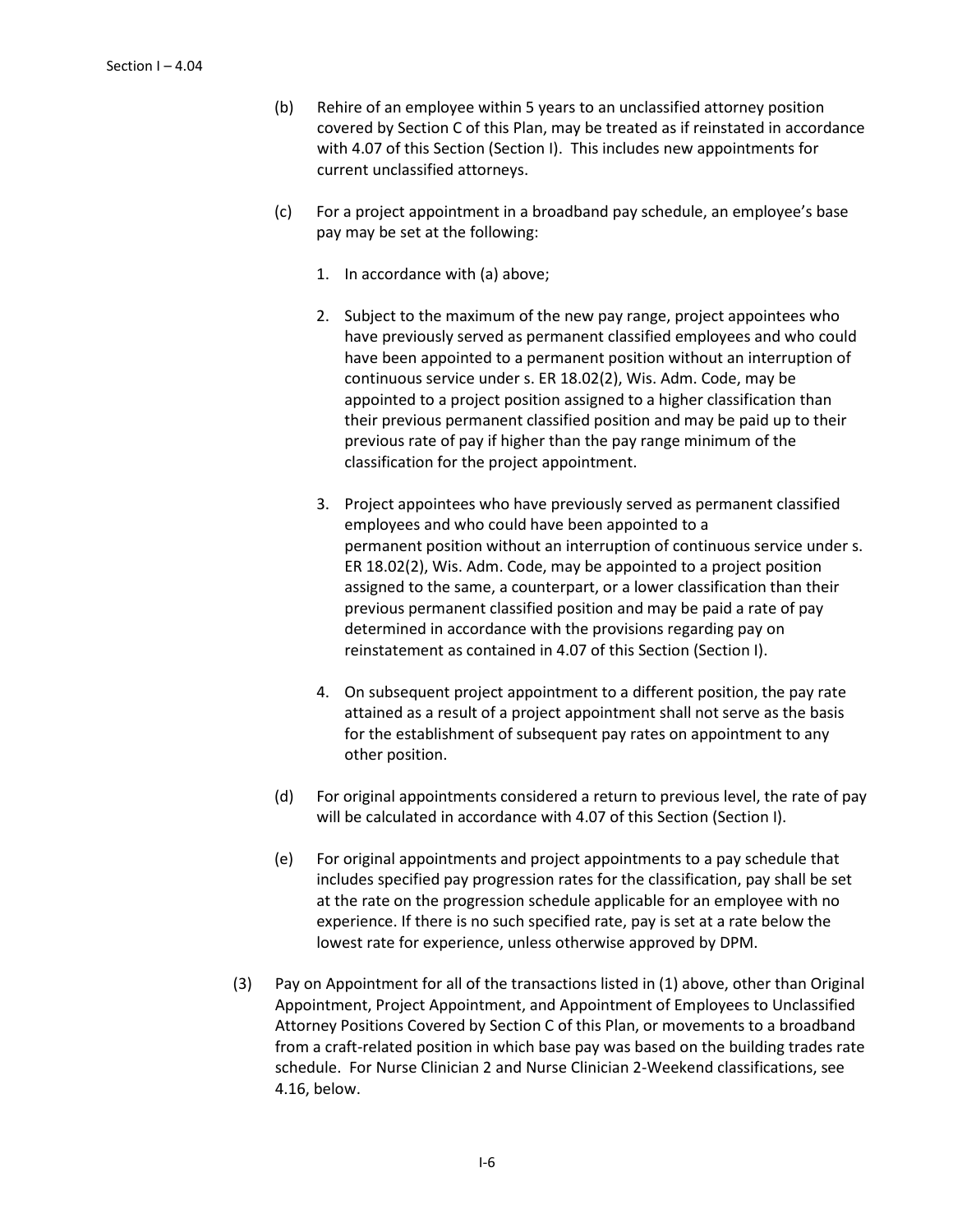- (b) Rehire of an employee within 5 years to an unclassified attorney position covered by Section C of this Plan, may be treated as if reinstated in accordance with 4.07 of this Section (Section I). This includes new appointments for current unclassified attorneys.
- (c) For a project appointment in a broadband pay schedule, an employee's base pay may be set at the following:
	- 1. In accordance with (a) above;
	- 2. Subject to the maximum of the new pay range, project appointees who have previously served as permanent classified employees and who could have been appointed to a permanent position without an interruption of continuous service under s. ER 18.02(2), Wis. Adm. Code, may be appointed to a project position assigned to a higher classification than their previous permanent classified position and may be paid up to their previous rate of pay if higher than the pay range minimum of the classification for the project appointment.
	- 3. Project appointees who have previously served as permanent classified employees and who could have been appointed to a permanent position without an interruption of continuous service under s. ER 18.02(2), Wis. Adm. Code, may be appointed to a project position assigned to the same, a counterpart, or a lower classification than their previous permanent classified position and may be paid a rate of pay determined in accordance with the provisions regarding pay on reinstatement as contained in 4.07 of this Section (Section I).
	- 4. On subsequent project appointment to a different position, the pay rate attained as a result of a project appointment shall not serve as the basis for the establishment of subsequent pay rates on appointment to any other position.
- (d) For original appointments considered a return to previous level, the rate of pay will be calculated in accordance with 4.07 of this Section (Section I).
- (e) For original appointments and project appointments to a pay schedule that includes specified pay progression rates for the classification, pay shall be set at the rate on the progression schedule applicable for an employee with no experience. If there is no such specified rate, pay is set at a rate below the lowest rate for experience, unless otherwise approved by DPM.
- (3) Pay on Appointment for all of the transactions listed in (1) above, other than Original Appointment, Project Appointment, and Appointment of Employees to Unclassified Attorney Positions Covered by Section C of this Plan, or movements to a broadband from a craft-related position in which base pay was based on the building trades rate schedule. For Nurse Clinician 2 and Nurse Clinician 2-Weekend classifications, see 4.16, below.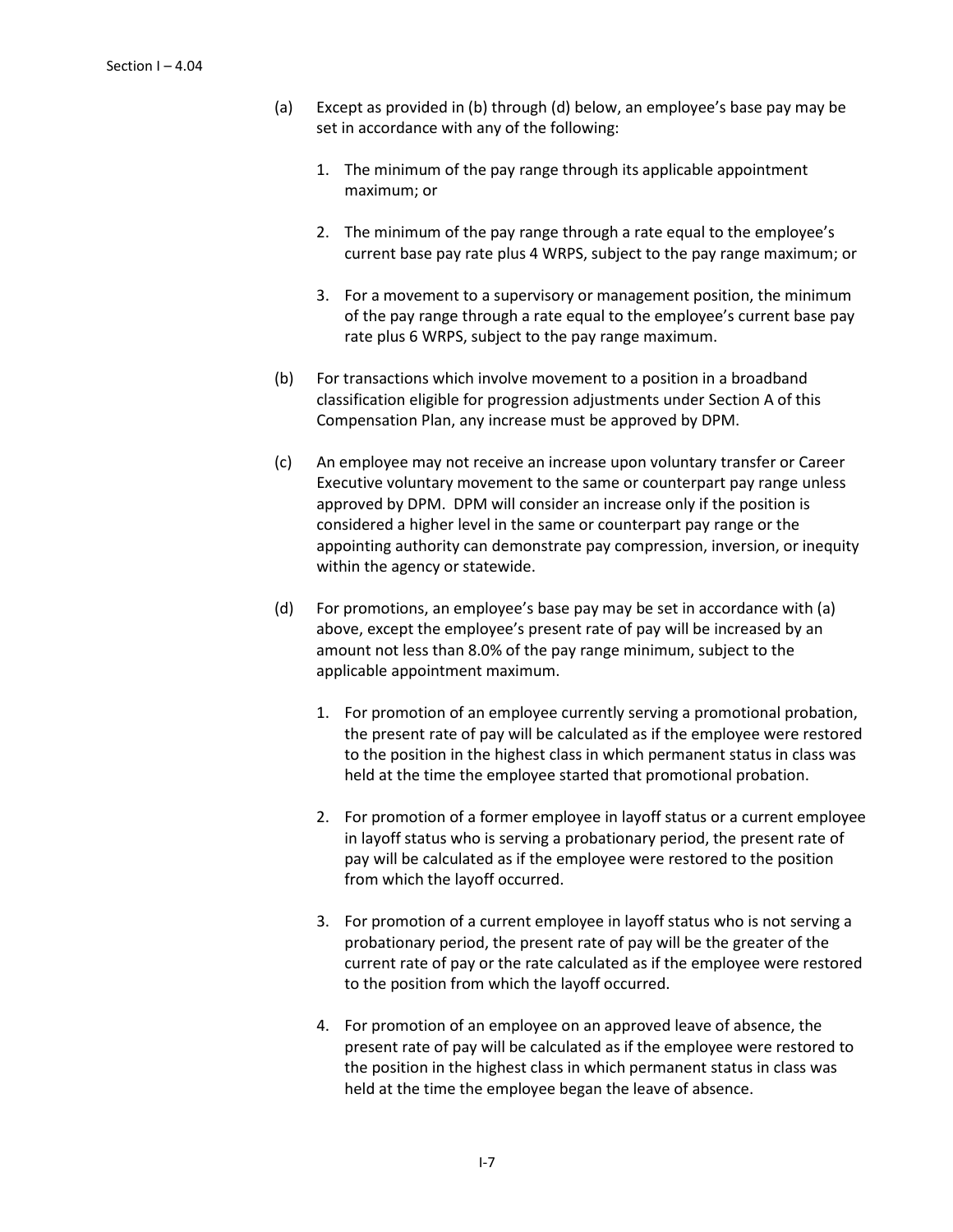- (a) Except as provided in (b) through (d) below, an employee's base pay may be set in accordance with any of the following:
	- 1. The minimum of the pay range through its applicable appointment maximum; or
	- 2. The minimum of the pay range through a rate equal to the employee's current base pay rate plus 4 WRPS, subject to the pay range maximum; or
	- 3. For a movement to a supervisory or management position, the minimum of the pay range through a rate equal to the employee's current base pay rate plus 6 WRPS, subject to the pay range maximum.
- (b) For transactions which involve movement to a position in a broadband classification eligible for progression adjustments under Section A of this Compensation Plan, any increase must be approved by DPM.
- (c) An employee may not receive an increase upon voluntary transfer or Career Executive voluntary movement to the same or counterpart pay range unless approved by DPM. DPM will consider an increase only if the position is considered a higher level in the same or counterpart pay range or the appointing authority can demonstrate pay compression, inversion, or inequity within the agency or statewide.
- (d) For promotions, an employee's base pay may be set in accordance with (a) above, except the employee's present rate of pay will be increased by an amount not less than 8.0% of the pay range minimum, subject to the applicable appointment maximum.
	- 1. For promotion of an employee currently serving a promotional probation, the present rate of pay will be calculated as if the employee were restored to the position in the highest class in which permanent status in class was held at the time the employee started that promotional probation.
	- 2. For promotion of a former employee in layoff status or a current employee in layoff status who is serving a probationary period, the present rate of pay will be calculated as if the employee were restored to the position from which the layoff occurred.
	- 3. For promotion of a current employee in layoff status who is not serving a probationary period, the present rate of pay will be the greater of the current rate of pay or the rate calculated as if the employee were restored to the position from which the layoff occurred.
	- 4. For promotion of an employee on an approved leave of absence, the present rate of pay will be calculated as if the employee were restored to the position in the highest class in which permanent status in class was held at the time the employee began the leave of absence.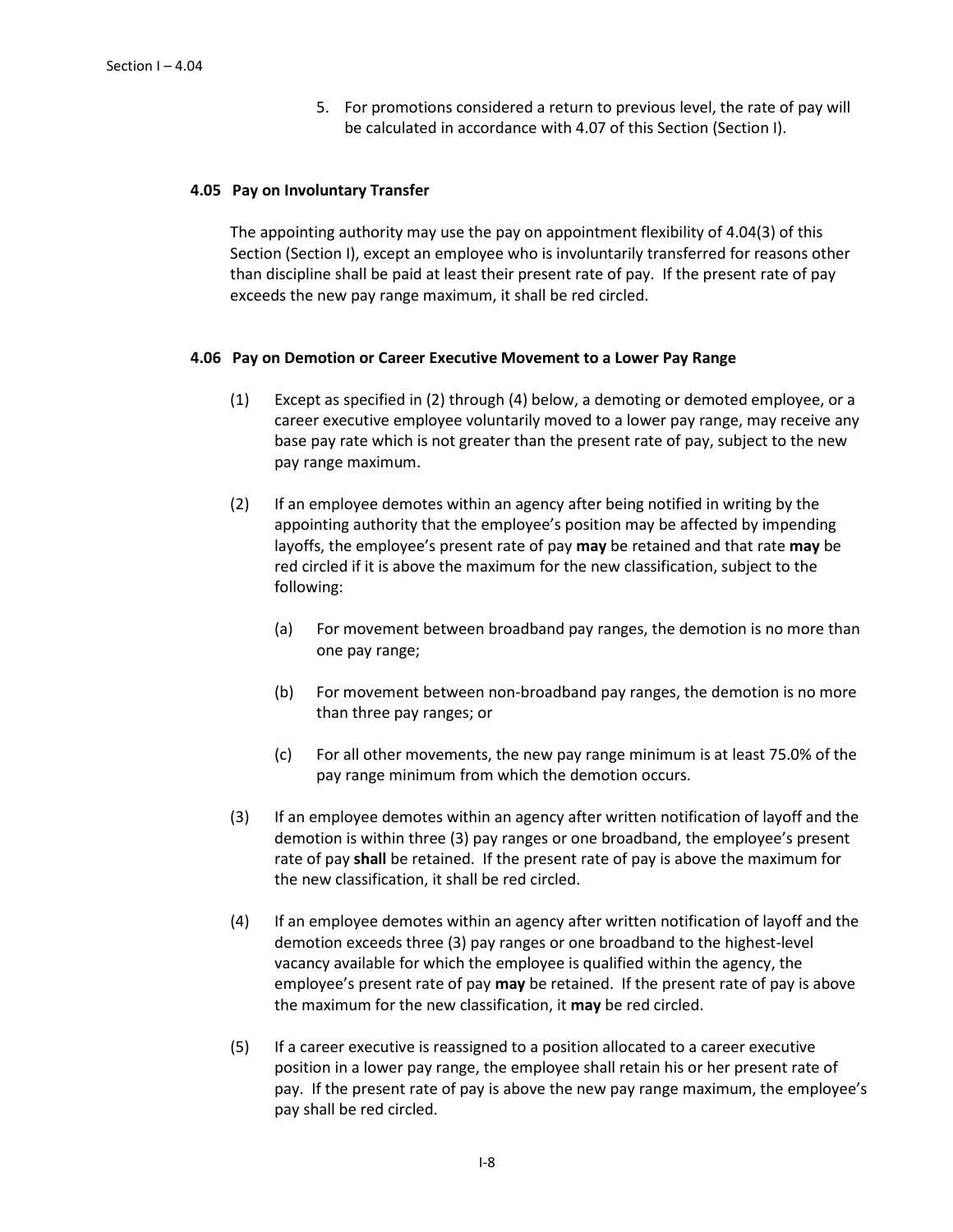5. For promotions considered a return to previous level, the rate of pay will be calculated in accordance with 4.07 of this Section (Section I).

#### **4.05 Pay on Involuntary Transfer**

The appointing authority may use the pay on appointment flexibility of 4.04(3) of this Section (Section I), except an employee who is involuntarily transferred for reasons other than discipline shall be paid at least their present rate of pay. If the present rate of pay exceeds the new pay range maximum, it shall be red circled.

#### **4.06 Pay on Demotion or Career Executive Movement to a Lower Pay Range**

- (1) Except as specified in (2) through (4) below, a demoting or demoted employee, or a career executive employee voluntarily moved to a lower pay range, may receive any base pay rate which is not greater than the present rate of pay, subject to the new pay range maximum.
- (2) If an employee demotes within an agency after being notified in writing by the appointing authority that the employee's position may be affected by impending layoffs, the employee's present rate of pay **may** be retained and that rate **may** be red circled if it is above the maximum for the new classification, subject to the following:
	- (a) For movement between broadband pay ranges, the demotion is no more than one pay range;
	- (b) For movement between non-broadband pay ranges, the demotion is no more than three pay ranges; or
	- (c) For all other movements, the new pay range minimum is at least 75.0% of the pay range minimum from which the demotion occurs.
- (3) If an employee demotes within an agency after written notification of layoff and the demotion is within three (3) pay ranges or one broadband, the employee's present rate of pay **shall** be retained. If the present rate of pay is above the maximum for the new classification, it shall be red circled.
- (4) If an employee demotes within an agency after written notification of layoff and the demotion exceeds three (3) pay ranges or one broadband to the highest-level vacancy available for which the employee is qualified within the agency, the employee's present rate of pay **may** be retained. If the present rate of pay is above the maximum for the new classification, it **may** be red circled.
- (5) If a career executive is reassigned to a position allocated to a career executive position in a lower pay range, the employee shall retain his or her present rate of pay. If the present rate of pay is above the new pay range maximum, the employee's pay shall be red circled.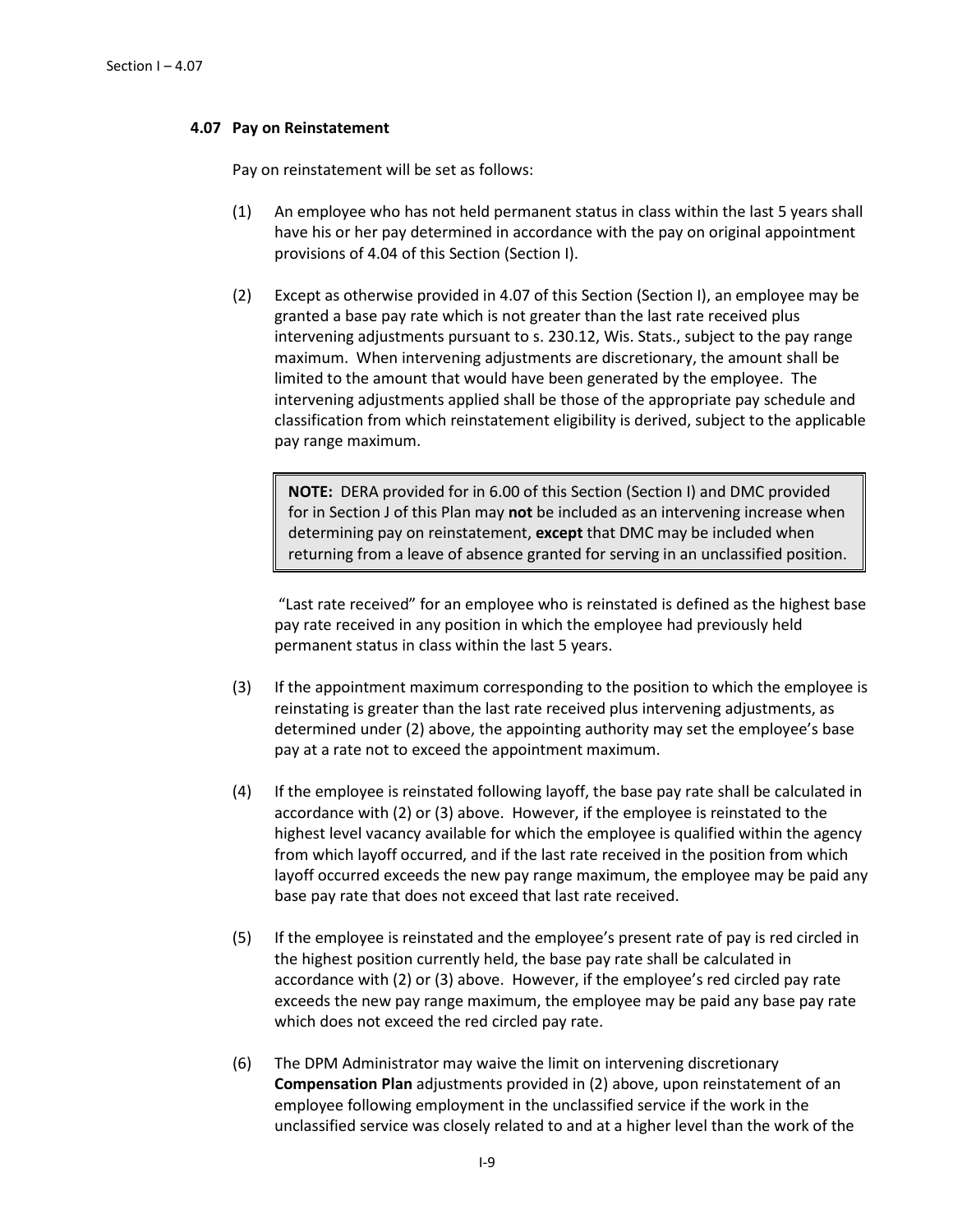## **4.07 Pay on Reinstatement**

Pay on reinstatement will be set as follows:

- (1) An employee who has not held permanent status in class within the last 5 years shall have his or her pay determined in accordance with the pay on original appointment provisions of 4.04 of this Section (Section I).
- (2) Except as otherwise provided in 4.07 of this Section (Section I), an employee may be granted a base pay rate which is not greater than the last rate received plus intervening adjustments pursuant to s. 230.12, Wis. Stats., subject to the pay range maximum. When intervening adjustments are discretionary, the amount shall be limited to the amount that would have been generated by the employee. The intervening adjustments applied shall be those of the appropriate pay schedule and classification from which reinstatement eligibility is derived, subject to the applicable pay range maximum.

**NOTE:** DERA provided for in 6.00 of this Section (Section I) and DMC provided for in Section J of this Plan may **not** be included as an intervening increase when determining pay on reinstatement, **except** that DMC may be included when returning from a leave of absence granted for serving in an unclassified position.

"Last rate received" for an employee who is reinstated is defined as the highest base pay rate received in any position in which the employee had previously held permanent status in class within the last 5 years.

- (3) If the appointment maximum corresponding to the position to which the employee is reinstating is greater than the last rate received plus intervening adjustments, as determined under (2) above, the appointing authority may set the employee's base pay at a rate not to exceed the appointment maximum.
- (4) If the employee is reinstated following layoff, the base pay rate shall be calculated in accordance with (2) or (3) above. However, if the employee is reinstated to the highest level vacancy available for which the employee is qualified within the agency from which layoff occurred, and if the last rate received in the position from which layoff occurred exceeds the new pay range maximum, the employee may be paid any base pay rate that does not exceed that last rate received.
- (5) If the employee is reinstated and the employee's present rate of pay is red circled in the highest position currently held, the base pay rate shall be calculated in accordance with (2) or (3) above. However, if the employee's red circled pay rate exceeds the new pay range maximum, the employee may be paid any base pay rate which does not exceed the red circled pay rate.
- (6) The DPM Administrator may waive the limit on intervening discretionary **Compensation Plan** adjustments provided in (2) above, upon reinstatement of an employee following employment in the unclassified service if the work in the unclassified service was closely related to and at a higher level than the work of the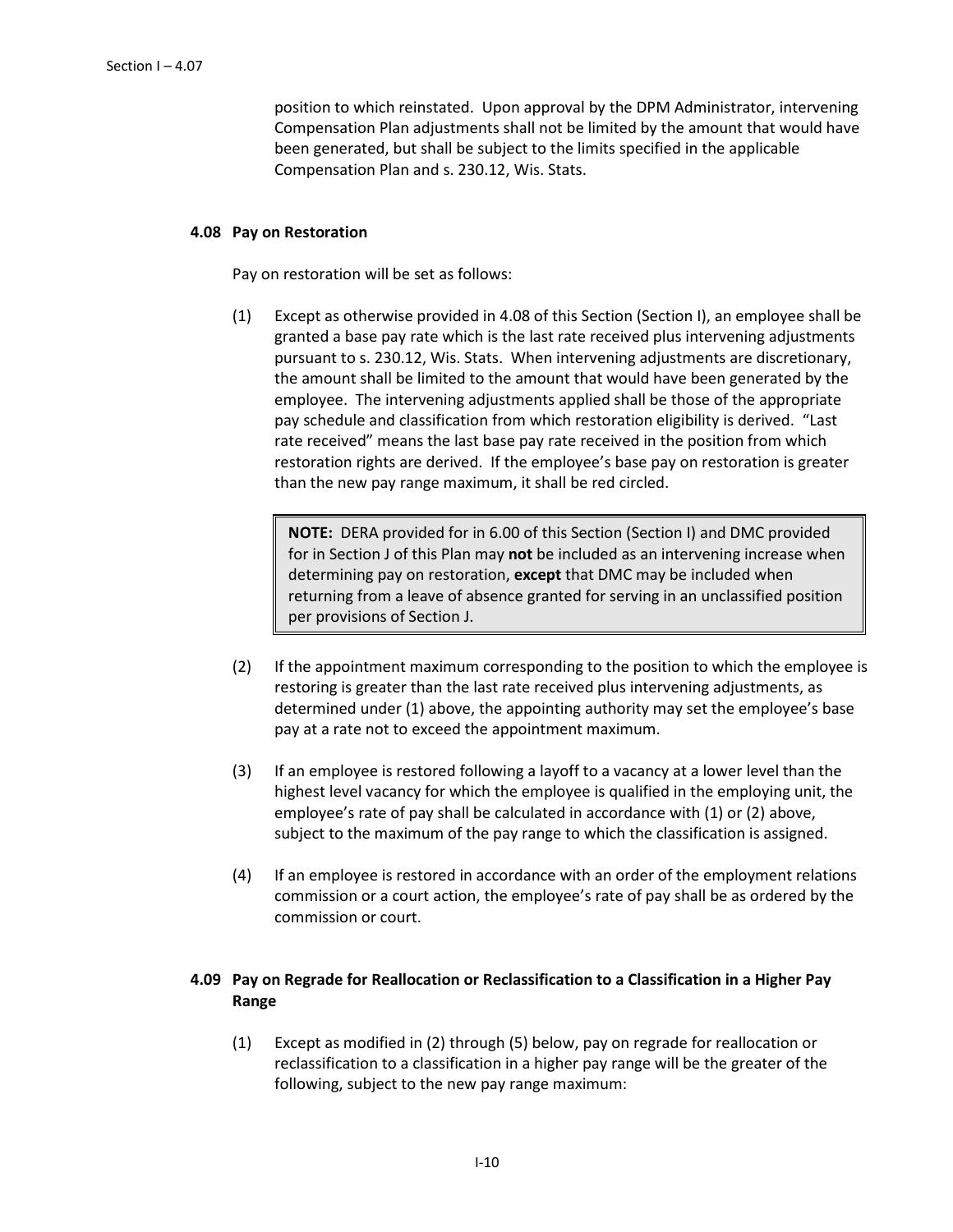position to which reinstated. Upon approval by the DPM Administrator, intervening Compensation Plan adjustments shall not be limited by the amount that would have been generated, but shall be subject to the limits specified in the applicable Compensation Plan and s. 230.12, Wis. Stats.

## **4.08 Pay on Restoration**

Pay on restoration will be set as follows:

(1) Except as otherwise provided in 4.08 of this Section (Section I), an employee shall be granted a base pay rate which is the last rate received plus intervening adjustments pursuant to s. 230.12, Wis. Stats. When intervening adjustments are discretionary, the amount shall be limited to the amount that would have been generated by the employee. The intervening adjustments applied shall be those of the appropriate pay schedule and classification from which restoration eligibility is derived. "Last rate received" means the last base pay rate received in the position from which restoration rights are derived. If the employee's base pay on restoration is greater than the new pay range maximum, it shall be red circled.

**NOTE:** DERA provided for in 6.00 of this Section (Section I) and DMC provided for in Section J of this Plan may **not** be included as an intervening increase when determining pay on restoration, **except** that DMC may be included when returning from a leave of absence granted for serving in an unclassified position per provisions of Section J.

- (2) If the appointment maximum corresponding to the position to which the employee is restoring is greater than the last rate received plus intervening adjustments, as determined under (1) above, the appointing authority may set the employee's base pay at a rate not to exceed the appointment maximum.
- (3) If an employee is restored following a layoff to a vacancy at a lower level than the highest level vacancy for which the employee is qualified in the employing unit, the employee's rate of pay shall be calculated in accordance with (1) or (2) above, subject to the maximum of the pay range to which the classification is assigned.
- (4) If an employee is restored in accordance with an order of the employment relations commission or a court action, the employee's rate of pay shall be as ordered by the commission or court.

# **4.09 Pay on Regrade for Reallocation or Reclassification to a Classification in a Higher Pay Range**

(1) Except as modified in (2) through (5) below, pay on regrade for reallocation or reclassification to a classification in a higher pay range will be the greater of the following, subject to the new pay range maximum: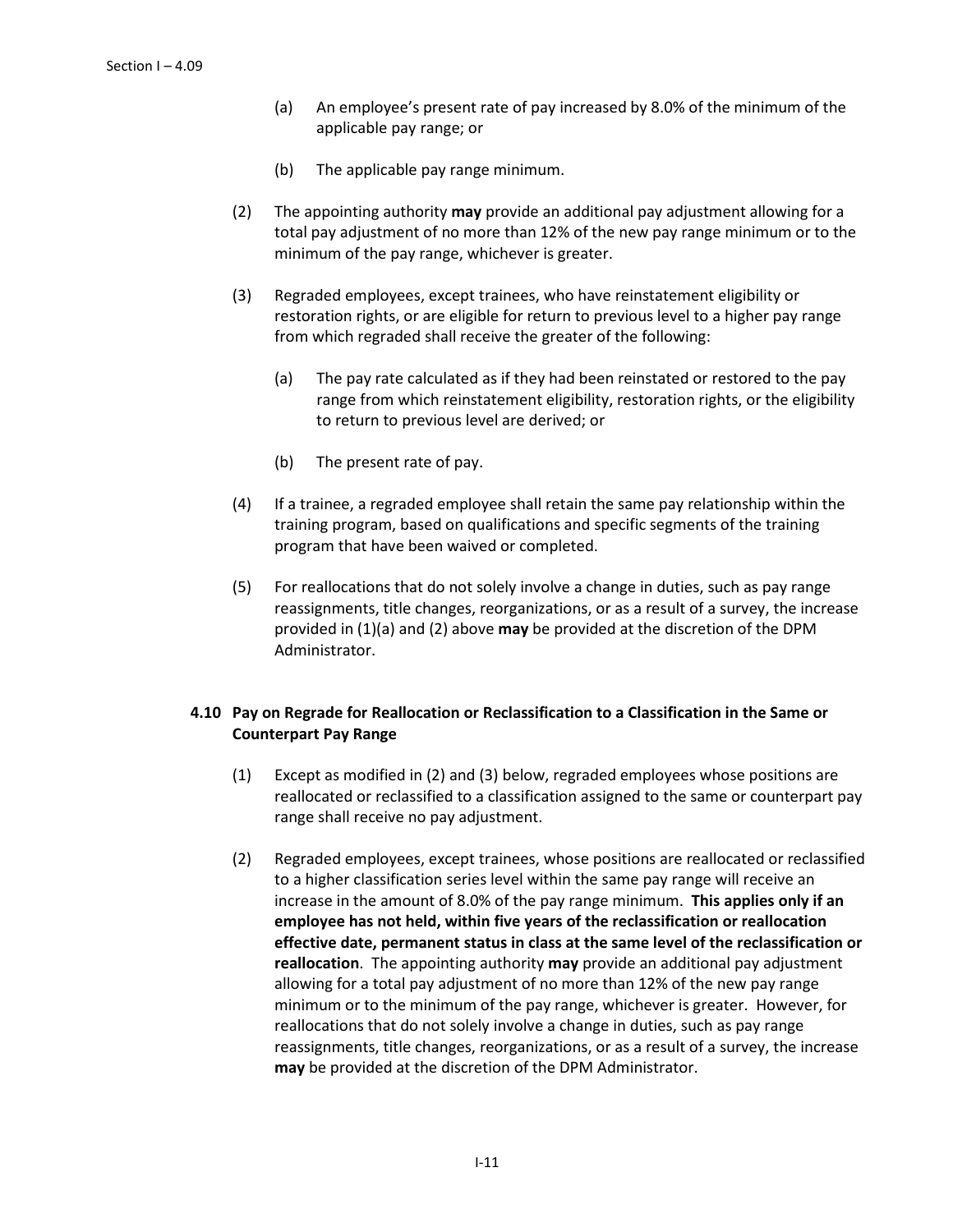- (a) An employee's present rate of pay increased by 8.0% of the minimum of the applicable pay range; or
- (b) The applicable pay range minimum.
- (2) The appointing authority **may** provide an additional pay adjustment allowing for a total pay adjustment of no more than 12% of the new pay range minimum or to the minimum of the pay range, whichever is greater.
- (3) Regraded employees, except trainees, who have reinstatement eligibility or restoration rights, or are eligible for return to previous level to a higher pay range from which regraded shall receive the greater of the following:
	- (a) The pay rate calculated as if they had been reinstated or restored to the pay range from which reinstatement eligibility, restoration rights, or the eligibility to return to previous level are derived; or
	- (b) The present rate of pay.
- (4) If a trainee, a regraded employee shall retain the same pay relationship within the training program, based on qualifications and specific segments of the training program that have been waived or completed.
- (5) For reallocations that do not solely involve a change in duties, such as pay range reassignments, title changes, reorganizations, or as a result of a survey, the increase provided in (1)(a) and (2) above **may** be provided at the discretion of the DPM Administrator.

# **4.10 Pay on Regrade for Reallocation or Reclassification to a Classification in the Same or Counterpart Pay Range**

- (1) Except as modified in (2) and (3) below, regraded employees whose positions are reallocated or reclassified to a classification assigned to the same or counterpart pay range shall receive no pay adjustment.
- (2) Regraded employees, except trainees, whose positions are reallocated or reclassified to a higher classification series level within the same pay range will receive an increase in the amount of 8.0% of the pay range minimum. **This applies only if an employee has not held, within five years of the reclassification or reallocation effective date, permanent status in class at the same level of the reclassification or reallocation**. The appointing authority **may** provide an additional pay adjustment allowing for a total pay adjustment of no more than 12% of the new pay range minimum or to the minimum of the pay range, whichever is greater. However, for reallocations that do not solely involve a change in duties, such as pay range reassignments, title changes, reorganizations, or as a result of a survey, the increase **may** be provided at the discretion of the DPM Administrator.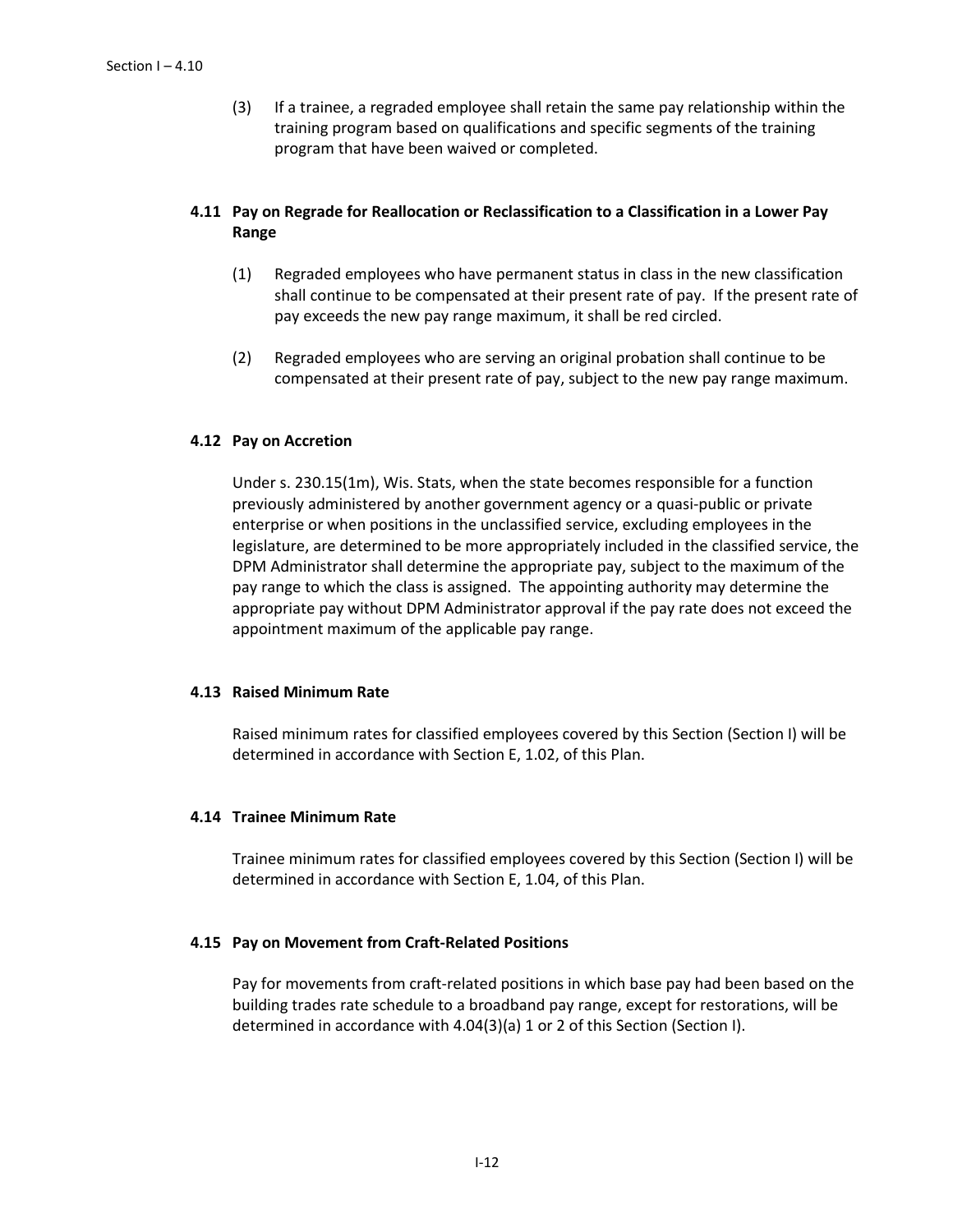(3) If a trainee, a regraded employee shall retain the same pay relationship within the training program based on qualifications and specific segments of the training program that have been waived or completed.

# **4.11 Pay on Regrade for Reallocation or Reclassification to a Classification in a Lower Pay Range**

- (1) Regraded employees who have permanent status in class in the new classification shall continue to be compensated at their present rate of pay. If the present rate of pay exceeds the new pay range maximum, it shall be red circled.
- (2) Regraded employees who are serving an original probation shall continue to be compensated at their present rate of pay, subject to the new pay range maximum.

## **4.12 Pay on Accretion**

Under s. 230.15(1m), Wis. Stats, when the state becomes responsible for a function previously administered by another government agency or a quasi-public or private enterprise or when positions in the unclassified service, excluding employees in the legislature, are determined to be more appropriately included in the classified service, the DPM Administrator shall determine the appropriate pay, subject to the maximum of the pay range to which the class is assigned. The appointing authority may determine the appropriate pay without DPM Administrator approval if the pay rate does not exceed the appointment maximum of the applicable pay range.

## **4.13 Raised Minimum Rate**

Raised minimum rates for classified employees covered by this Section (Section I) will be determined in accordance with Section E, 1.02, of this Plan.

### **4.14 Trainee Minimum Rate**

Trainee minimum rates for classified employees covered by this Section (Section I) will be determined in accordance with Section E, 1.04, of this Plan.

### **4.15 Pay on Movement from Craft-Related Positions**

Pay for movements from craft-related positions in which base pay had been based on the building trades rate schedule to a broadband pay range, except for restorations, will be determined in accordance with 4.04(3)(a) 1 or 2 of this Section (Section I).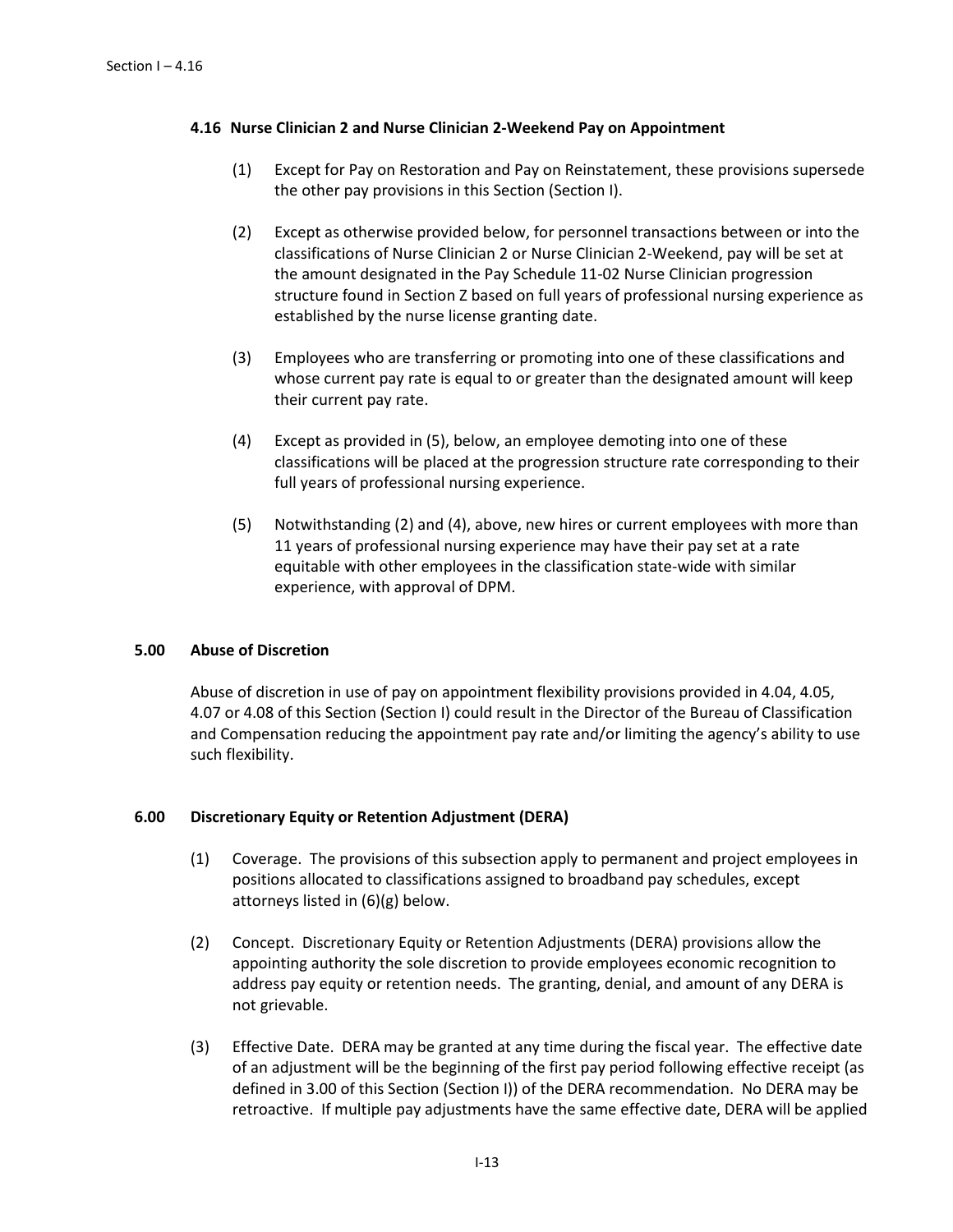## **4.16 Nurse Clinician 2 and Nurse Clinician 2-Weekend Pay on Appointment**

- (1) Except for Pay on Restoration and Pay on Reinstatement, these provisions supersede the other pay provisions in this Section (Section I).
- (2) Except as otherwise provided below, for personnel transactions between or into the classifications of Nurse Clinician 2 or Nurse Clinician 2-Weekend, pay will be set at the amount designated in the Pay Schedule 11-02 Nurse Clinician progression structure found in Section Z based on full years of professional nursing experience as established by the nurse license granting date.
- (3) Employees who are transferring or promoting into one of these classifications and whose current pay rate is equal to or greater than the designated amount will keep their current pay rate.
- (4) Except as provided in (5), below, an employee demoting into one of these classifications will be placed at the progression structure rate corresponding to their full years of professional nursing experience.
- (5) Notwithstanding (2) and (4), above, new hires or current employees with more than 11 years of professional nursing experience may have their pay set at a rate equitable with other employees in the classification state-wide with similar experience, with approval of DPM.

# **5.00 Abuse of Discretion**

Abuse of discretion in use of pay on appointment flexibility provisions provided in 4.04, 4.05, 4.07 or 4.08 of this Section (Section I) could result in the Director of the Bureau of Classification and Compensation reducing the appointment pay rate and/or limiting the agency's ability to use such flexibility.

### **6.00 Discretionary Equity or Retention Adjustment (DERA)**

- (1) Coverage. The provisions of this subsection apply to permanent and project employees in positions allocated to classifications assigned to broadband pay schedules, except attorneys listed in (6)(g) below.
- (2) Concept. Discretionary Equity or Retention Adjustments (DERA) provisions allow the appointing authority the sole discretion to provide employees economic recognition to address pay equity or retention needs. The granting, denial, and amount of any DERA is not grievable.
- (3) Effective Date. DERA may be granted at any time during the fiscal year. The effective date of an adjustment will be the beginning of the first pay period following effective receipt (as defined in 3.00 of this Section (Section I)) of the DERA recommendation. No DERA may be retroactive. If multiple pay adjustments have the same effective date, DERA will be applied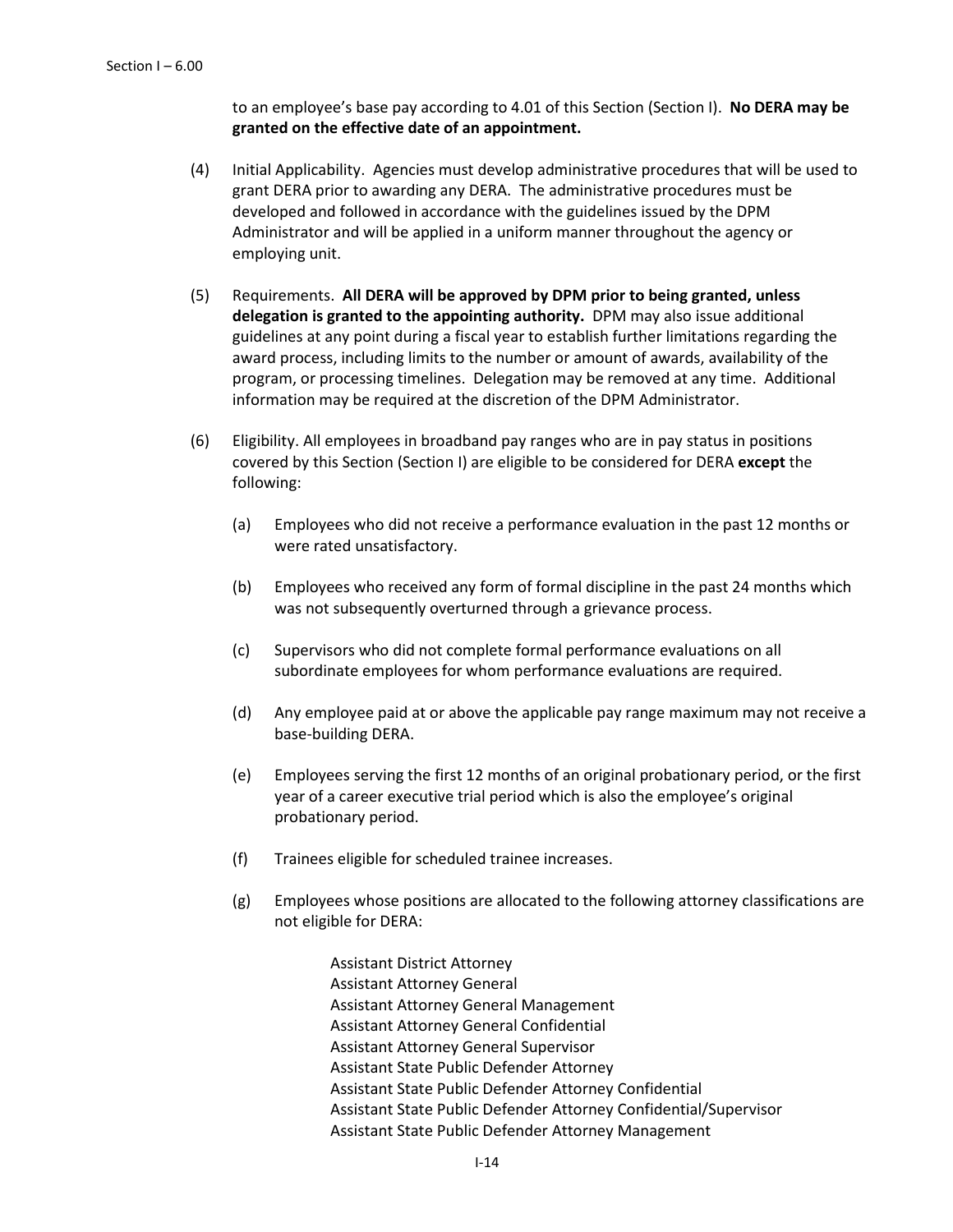to an employee's base pay according to 4.01 of this Section (Section I). **No DERA may be granted on the effective date of an appointment.**

- (4) Initial Applicability. Agencies must develop administrative procedures that will be used to grant DERA prior to awarding any DERA. The administrative procedures must be developed and followed in accordance with the guidelines issued by the DPM Administrator and will be applied in a uniform manner throughout the agency or employing unit.
- (5) Requirements. **All DERA will be approved by DPM prior to being granted, unless delegation is granted to the appointing authority.** DPM may also issue additional guidelines at any point during a fiscal year to establish further limitations regarding the award process, including limits to the number or amount of awards, availability of the program, or processing timelines. Delegation may be removed at any time. Additional information may be required at the discretion of the DPM Administrator.
- (6) Eligibility. All employees in broadband pay ranges who are in pay status in positions covered by this Section (Section I) are eligible to be considered for DERA **except** the following:
	- (a) Employees who did not receive a performance evaluation in the past 12 months or were rated unsatisfactory.
	- (b) Employees who received any form of formal discipline in the past 24 months which was not subsequently overturned through a grievance process.
	- (c) Supervisors who did not complete formal performance evaluations on all subordinate employees for whom performance evaluations are required.
	- (d) Any employee paid at or above the applicable pay range maximum may not receive a base-building DERA.
	- (e) Employees serving the first 12 months of an original probationary period, or the first year of a career executive trial period which is also the employee's original probationary period.
	- (f) Trainees eligible for scheduled trainee increases.
	- (g) Employees whose positions are allocated to the following attorney classifications are not eligible for DERA:

Assistant District Attorney Assistant Attorney General Assistant Attorney General Management Assistant Attorney General Confidential Assistant Attorney General Supervisor Assistant State Public Defender Attorney Assistant State Public Defender Attorney Confidential Assistant State Public Defender Attorney Confidential/Supervisor Assistant State Public Defender Attorney Management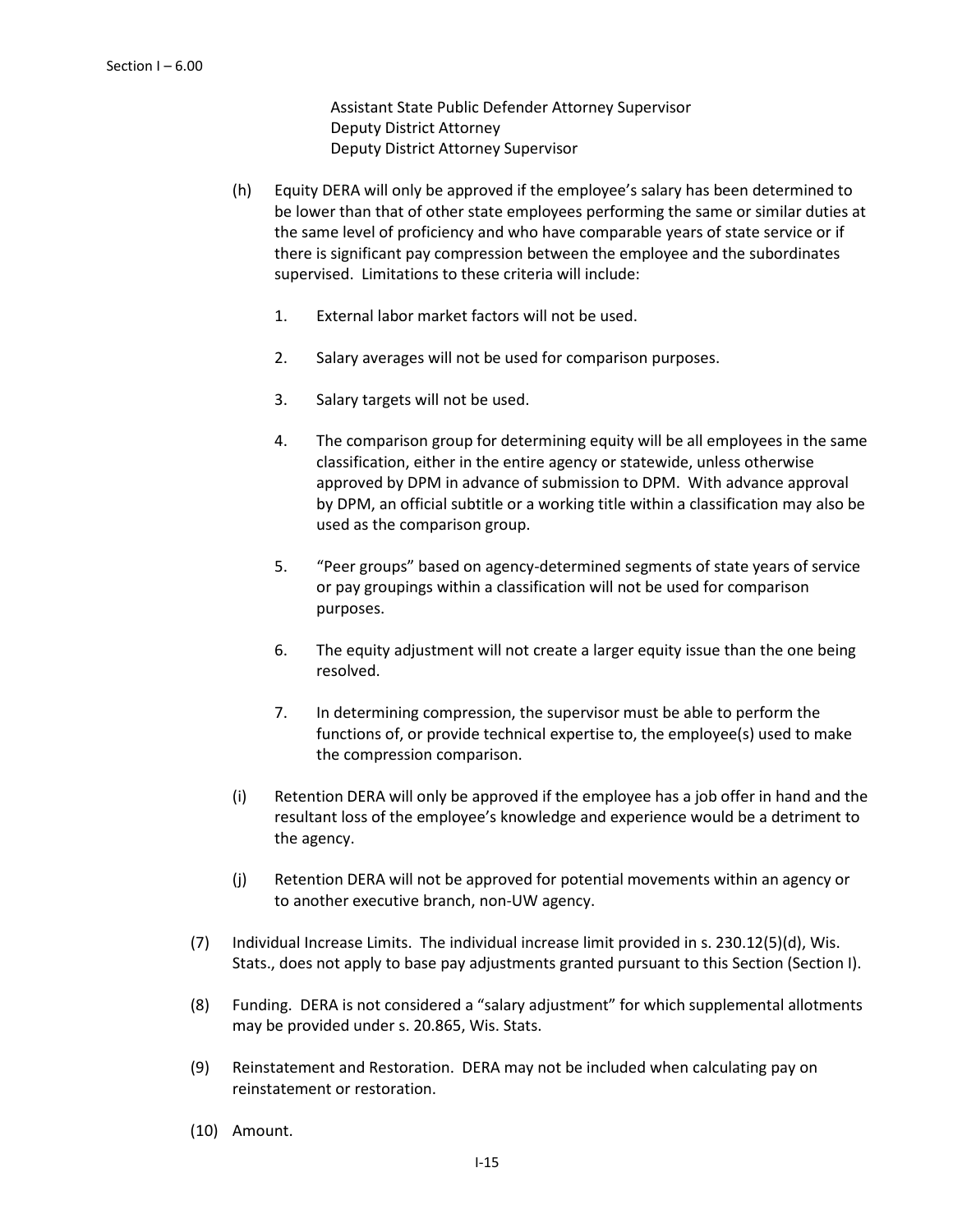Assistant State Public Defender Attorney Supervisor Deputy District Attorney Deputy District Attorney Supervisor

- (h) Equity DERA will only be approved if the employee's salary has been determined to be lower than that of other state employees performing the same or similar duties at the same level of proficiency and who have comparable years of state service or if there is significant pay compression between the employee and the subordinates supervised. Limitations to these criteria will include:
	- 1. External labor market factors will not be used.
	- 2. Salary averages will not be used for comparison purposes.
	- 3. Salary targets will not be used.
	- 4. The comparison group for determining equity will be all employees in the same classification, either in the entire agency or statewide, unless otherwise approved by DPM in advance of submission to DPM. With advance approval by DPM, an official subtitle or a working title within a classification may also be used as the comparison group.
	- 5. "Peer groups" based on agency-determined segments of state years of service or pay groupings within a classification will not be used for comparison purposes.
	- 6. The equity adjustment will not create a larger equity issue than the one being resolved.
	- 7. In determining compression, the supervisor must be able to perform the functions of, or provide technical expertise to, the employee(s) used to make the compression comparison.
- (i) Retention DERA will only be approved if the employee has a job offer in hand and the resultant loss of the employee's knowledge and experience would be a detriment to the agency.
- (j) Retention DERA will not be approved for potential movements within an agency or to another executive branch, non-UW agency.
- (7) Individual Increase Limits. The individual increase limit provided in s. 230.12(5)(d), Wis. Stats., does not apply to base pay adjustments granted pursuant to this Section (Section I).
- (8) Funding. DERA is not considered a "salary adjustment" for which supplemental allotments may be provided under s. 20.865, Wis. Stats.
- (9) Reinstatement and Restoration. DERA may not be included when calculating pay on reinstatement or restoration.
- (10) Amount.